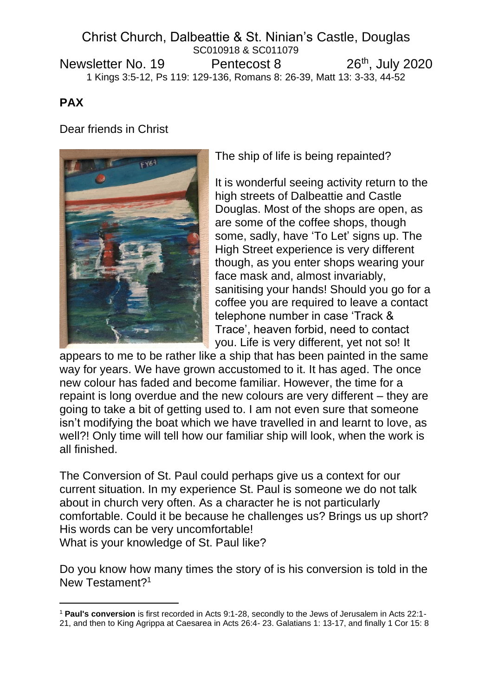# Christ Church, Dalbeattie & St. Ninian's Castle, Douglas SC010918 & SC011079 Newsletter No. 19 Pentecost 8 26<sup>th</sup>, July 2020 1 Kings 3:5-12, Ps 119: 129-136, Romans 8: 26-39, Matt 13: 3-33, 44-52

# **PAX**

Dear friends in Christ



The ship of life is being repainted?

It is wonderful seeing activity return to the high streets of Dalbeattie and Castle Douglas. Most of the shops are open, as are some of the coffee shops, though some, sadly, have 'To Let' signs up. The High Street experience is very different though, as you enter shops wearing your face mask and, almost invariably, sanitising your hands! Should you go for a coffee you are required to leave a contact telephone number in case 'Track & Trace', heaven forbid, need to contact you. Life is very different, yet not so! It

appears to me to be rather like a ship that has been painted in the same way for years. We have grown accustomed to it. It has aged. The once new colour has faded and become familiar. However, the time for a repaint is long overdue and the new colours are very different – they are going to take a bit of getting used to. I am not even sure that someone isn't modifying the boat which we have travelled in and learnt to love, as well?! Only time will tell how our familiar ship will look, when the work is all finished.

The Conversion of St. Paul could perhaps give us a context for our current situation. In my experience St. Paul is someone we do not talk about in church very often. As a character he is not particularly comfortable. Could it be because he challenges us? Brings us up short? His words can be very uncomfortable! What is your knowledge of St. Paul like?

Do you know how many times the story of is his conversion is told in the New Testament?<sup>1</sup>

<sup>1</sup> **Paul's conversion** is first recorded in Acts 9:1-28, secondly to the Jews of Jerusalem in Acts 22:1-

<sup>21,</sup> and then to King Agrippa at Caesarea in Acts 26:4- 23. Galatians 1: 13-17, and finally 1 Cor 15: 8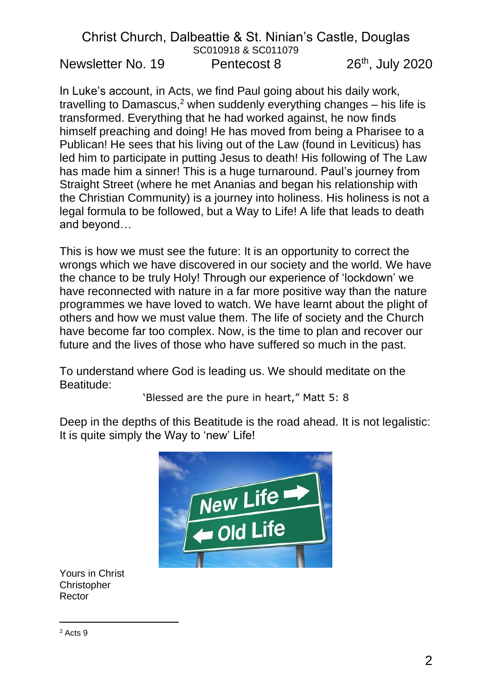In Luke's account, in Acts, we find Paul going about his daily work, travelling to Damascus,<sup>2</sup> when suddenly everything changes  $-$  his life is transformed. Everything that he had worked against, he now finds himself preaching and doing! He has moved from being a Pharisee to a Publican! He sees that his living out of the Law (found in Leviticus) has led him to participate in putting Jesus to death! His following of The Law has made him a sinner! This is a huge turnaround. Paul's journey from Straight Street (where he met Ananias and began his relationship with the Christian Community) is a journey into holiness. His holiness is not a legal formula to be followed, but a Way to Life! A life that leads to death and beyond…

This is how we must see the future: It is an opportunity to correct the wrongs which we have discovered in our society and the world. We have the chance to be truly Holy! Through our experience of 'lockdown' we have reconnected with nature in a far more positive way than the nature programmes we have loved to watch. We have learnt about the plight of others and how we must value them. The life of society and the Church have become far too complex. Now, is the time to plan and recover our future and the lives of those who have suffered so much in the past.

To understand where God is leading us. We should meditate on the Beatitude:

'Blessed are the pure in heart," Matt 5: 8

Deep in the depths of this Beatitude is the road ahead. It is not legalistic: It is quite simply the Way to 'new' Life!



Yours in Christ Christopher Rector

<sup>2</sup> Acts 9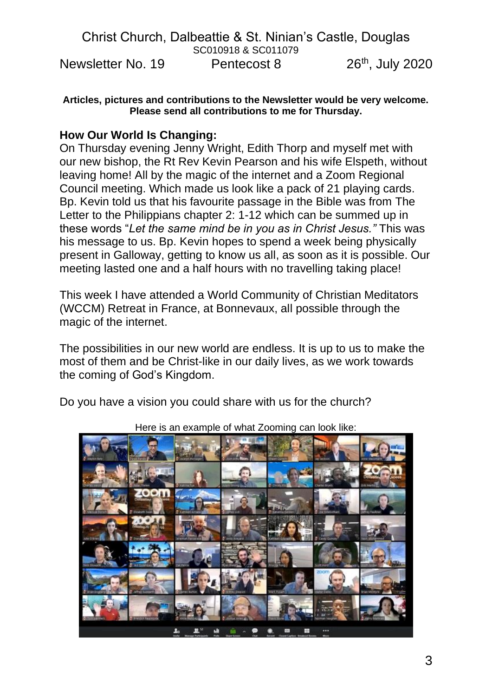**Articles, pictures and contributions to the Newsletter would be very welcome. Please send all contributions to me for Thursday.**

### **How Our World Is Changing:**

On Thursday evening Jenny Wright, Edith Thorp and myself met with our new bishop, the Rt Rev Kevin Pearson and his wife Elspeth, without leaving home! All by the magic of the internet and a Zoom Regional Council meeting. Which made us look like a pack of 21 playing cards. Bp. Kevin told us that his favourite passage in the Bible was from The Letter to the Philippians chapter 2: 1-12 which can be summed up in these words "*Let the same mind be in you as in Christ Jesus."* This was his message to us. Bp. Kevin hopes to spend a week being physically present in Galloway, getting to know us all, as soon as it is possible. Our meeting lasted one and a half hours with no travelling taking place!

This week I have attended a World Community of Christian Meditators (WCCM) Retreat in France, at Bonnevaux, all possible through the magic of the internet.

The possibilities in our new world are endless. It is up to us to make the most of them and be Christ-like in our daily lives, as we work towards the coming of God's Kingdom.

Do you have a vision you could share with us for the church?



Here is an example of what Zooming can look like: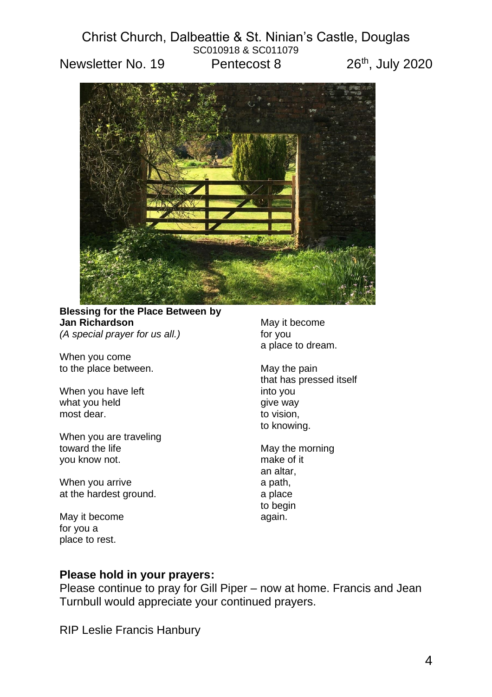

**Blessing for the Place Between by Jan Richardson** *(A special prayer for us all.)*

When you come to the place between.

When you have left what you held most dear.

When you are traveling toward the life you know not.

When you arrive at the hardest ground.

May it become for you a place to rest.

May it become for you a place to dream.

May the pain that has pressed itself into you give way to vision, to knowing.

May the morning make of it an altar, a path, a place to begin again.

#### **Please hold in your prayers:**

Please continue to pray for Gill Piper – now at home. Francis and Jean Turnbull would appreciate your continued prayers.

RIP Leslie Francis Hanbury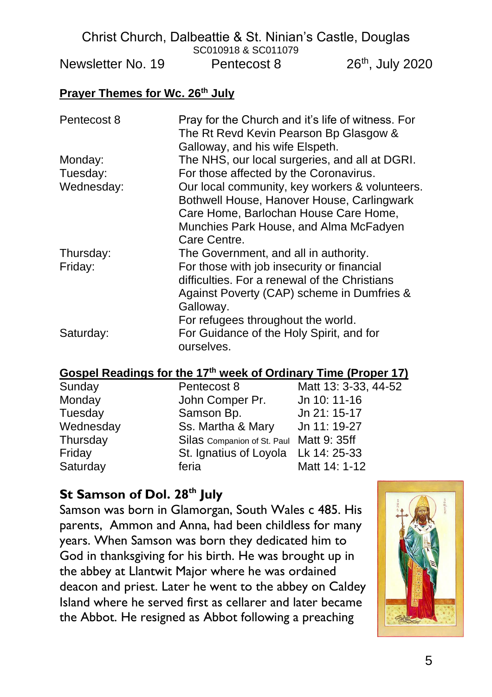#### **Prayer Themes for Wc. 26th July**

| Pentecost 8 | Pray for the Church and it's life of witness. For<br>The Rt Revd Kevin Pearson Bp Glasgow &<br>Galloway, and his wife Elspeth. |  |  |
|-------------|--------------------------------------------------------------------------------------------------------------------------------|--|--|
| Monday:     | The NHS, our local surgeries, and all at DGRI.                                                                                 |  |  |
| Tuesday:    | For those affected by the Coronavirus.                                                                                         |  |  |
| Wednesday:  | Our local community, key workers & volunteers.                                                                                 |  |  |
|             | Bothwell House, Hanover House, Carlingwark                                                                                     |  |  |
|             | Care Home, Barlochan House Care Home,                                                                                          |  |  |
|             | Munchies Park House, and Alma McFadyen                                                                                         |  |  |
|             | Care Centre.                                                                                                                   |  |  |
| Thursday:   | The Government, and all in authority.                                                                                          |  |  |
| Friday:     | For those with job insecurity or financial                                                                                     |  |  |
|             | difficulties. For a renewal of the Christians                                                                                  |  |  |
|             | Against Poverty (CAP) scheme in Dumfries &                                                                                     |  |  |
|             | Galloway.                                                                                                                      |  |  |
|             | For refugees throughout the world.                                                                                             |  |  |
| Saturday:   | For Guidance of the Holy Spirit, and for                                                                                       |  |  |
|             | ourselves.                                                                                                                     |  |  |

#### **Gospel Readings for the 17 th week of Ordinary Time (Proper 17)**

| Sunday    | Pentecost 8                              | Matt 13: 3-33, 44-52 |
|-----------|------------------------------------------|----------------------|
| Monday    | John Comper Pr.                          | Jn 10: 11-16         |
| Tuesday   | Samson Bp.                               | Jn 21: 15-17         |
| Wednesday | Ss. Martha & Mary                        | Jn 11: 19-27         |
| Thursday  | Silas Companion of St. Paul Matt 9: 35ff |                      |
| Friday    | St. Ignatius of Loyola Lk 14: 25-33      |                      |
| Saturday  | feria                                    | Matt 14: 1-12        |

# **St Samson of Dol. 28th July**

Samson was born in Glamorgan, South Wales c 485. His parents, Ammon and Anna, had been childless for many years. When Samson was born they dedicated him to God in thanksgiving for his birth. He was brought up in the abbey at Llantwit Major where he was ordained deacon and priest. Later he went to the abbey on Caldey Island where he served first as cellarer and later became the Abbot. He resigned as Abbot following a preaching

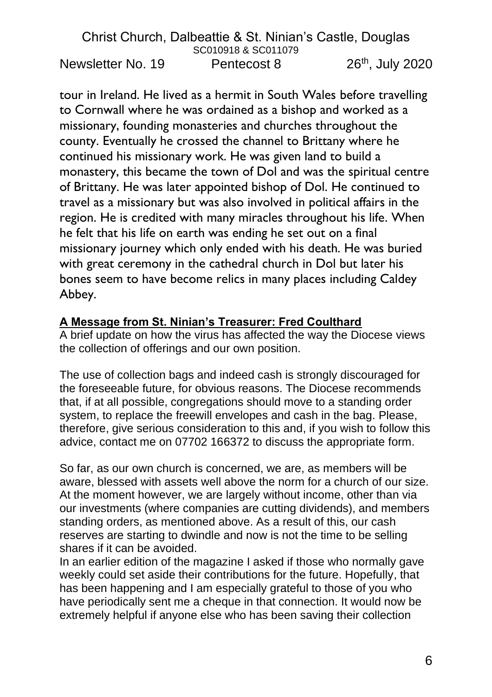tour in Ireland. He lived as a hermit in South Wales before travelling to Cornwall where he was ordained as a bishop and worked as a missionary, founding monasteries and churches throughout the county. Eventually he crossed the channel to Brittany where he continued his missionary work. He was given land to build a monastery, this became the town of Dol and was the spiritual centre of Brittany. He was later appointed bishop of Dol. He continued to travel as a missionary but was also involved in political affairs in the region. He is credited with many miracles throughout his life. When he felt that his life on earth was ending he set out on a final missionary journey which only ended with his death. He was buried with great ceremony in the cathedral church in Dol but later his bones seem to have become relics in many places including Caldey Abbey.

# **A Message from St. Ninian's Treasurer: Fred Coulthard**

A brief update on how the virus has affected the way the Diocese views the collection of offerings and our own position.

The use of collection bags and indeed cash is strongly discouraged for the foreseeable future, for obvious reasons. The Diocese recommends that, if at all possible, congregations should move to a standing order system, to replace the freewill envelopes and cash in the bag. Please, therefore, give serious consideration to this and, if you wish to follow this advice, contact me on 07702 166372 to discuss the appropriate form.

So far, as our own church is concerned, we are, as members will be aware, blessed with assets well above the norm for a church of our size. At the moment however, we are largely without income, other than via our investments (where companies are cutting dividends), and members standing orders, as mentioned above. As a result of this, our cash reserves are starting to dwindle and now is not the time to be selling shares if it can be avoided.

In an earlier edition of the magazine I asked if those who normally gave weekly could set aside their contributions for the future. Hopefully, that has been happening and I am especially grateful to those of you who have periodically sent me a cheque in that connection. It would now be extremely helpful if anyone else who has been saving their collection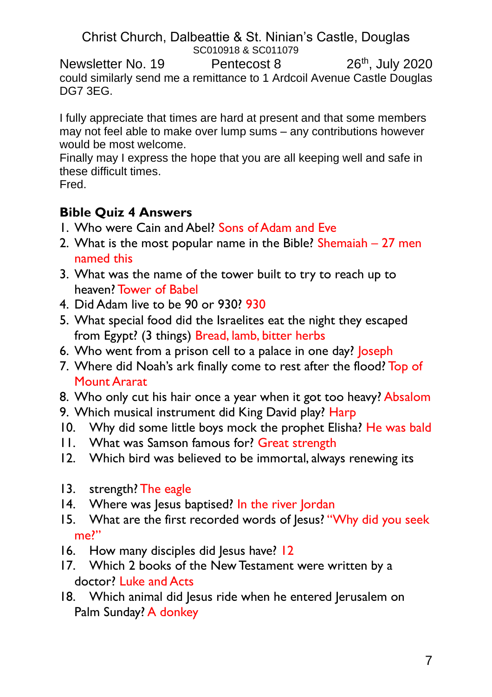Christ Church, Dalbeattie & St. Ninian's Castle, Douglas SC010918 & SC011079

Newsletter No. 19 Pentecost 8 26<sup>th</sup>, July 2020 could similarly send me a remittance to 1 Ardcoil Avenue Castle Douglas DG7 3EG.

I fully appreciate that times are hard at present and that some members may not feel able to make over lump sums – any contributions however would be most welcome.

Finally may I express the hope that you are all keeping well and safe in these difficult times.

Fred.

# **Bible Quiz 4 Answers**

- 1. Who were Cain and Abel? Sons of Adam and Eve
- 2. What is the most popular name in the Bible? Shemaiah  $-27$  men named this
- 3. What was the name of the tower built to try to reach up to heaven? Tower of Babel
- 4. Did Adam live to be 90 or 930? 930
- 5. What special food did the Israelites eat the night they escaped from Egypt? (3 things) Bread, lamb, bitter herbs
- 6. Who went from a prison cell to a palace in one day? loseph
- 7. Where did Noah's ark finally come to rest after the flood? Top of Mount Ararat
- 8. Who only cut his hair once a year when it got too heavy? Absalom
- 9. Which musical instrument did King David play? Harp
- 10. Why did some little boys mock the prophet Elisha? He was bald
- 11. What was Samson famous for? Great strength
- 12. Which bird was believed to be immortal, always renewing its
- 13. strength? The eagle
- 14. Where was Jesus baptised? In the river Jordan
- 15. What are the first recorded words of lesus? "Why did you seek me?"
- 16. How many disciples did Jesus have? 12
- 17. Which 2 books of the New Testament were written by a doctor? Luke and Acts
- 18. Which animal did Jesus ride when he entered Jerusalem on Palm Sunday? A donkey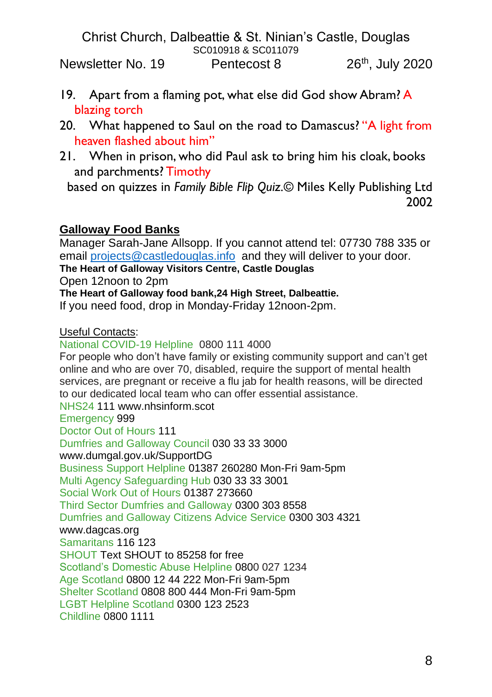- 19. Apart from a flaming pot, what else did God show Abram? A blazing torch
- 20. What happened to Saul on the road to Damascus? "A light from heaven flashed about him"
- 21. When in prison, who did Paul ask to bring him his cloak, books and parchments? Timothy

based on quizzes in *Family Bible Flip Quiz.*© Miles Kelly Publishing Ltd 2002

# **Galloway Food Banks**

Manager Sarah-Jane Allsopp. If you cannot attend tel: 07730 788 335 or email [projects@castledouglas.info](mailto:projects@castledouglas.info) and they will deliver to your door.

**The Heart of Galloway Visitors Centre, Castle Douglas**

Open 12noon to 2pm

**The Heart of Galloway food bank,24 High Street, Dalbeattie.**

If you need food, drop in Monday-Friday 12noon-2pm.

Useful Contacts:

National COVID-19 Helpline 0800 111 4000 For people who don't have family or existing community support and can't get online and who are over 70, disabled, require the support of mental health services, are pregnant or receive a flu jab for health reasons, will be directed to our dedicated local team who can offer essential assistance. NHS24 111 www.nhsinform.scot Emergency 999 Doctor Out of Hours 111 Dumfries and Galloway Council 030 33 33 3000 www.dumgal.gov.uk/SupportDG Business Support Helpline 01387 260280 Mon-Fri 9am-5pm Multi Agency Safeguarding Hub 030 33 33 3001 Social Work Out of Hours 01387 273660 Third Sector Dumfries and Galloway 0300 303 8558 Dumfries and Galloway Citizens Advice Service 0300 303 4321 www.dagcas.org Samaritans 116 123 SHOUT Text SHOUT to 85258 for free Scotland's Domestic Abuse Helpline 0800 027 1234 Age Scotland 0800 12 44 222 Mon-Fri 9am-5pm Shelter Scotland 0808 800 444 Mon-Fri 9am-5pm LGBT Helpline Scotland 0300 123 2523 Childline 0800 1111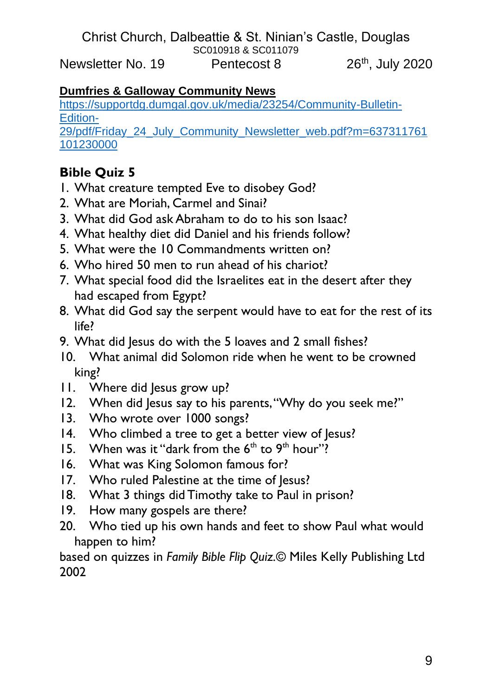## **Dumfries & Galloway Community News**

[https://supportdg.dumgal.gov.uk/media/23254/Community-Bulletin-](https://supportdg.dumgal.gov.uk/media/23254/Community-Bulletin-Edition-29/pdf/Friday_24_July_Community_Newsletter_web.pdf?m=637311761101230000)[Edition-](https://supportdg.dumgal.gov.uk/media/23254/Community-Bulletin-Edition-29/pdf/Friday_24_July_Community_Newsletter_web.pdf?m=637311761101230000)

[29/pdf/Friday\\_24\\_July\\_Community\\_Newsletter\\_web.pdf?m=637311761](https://supportdg.dumgal.gov.uk/media/23254/Community-Bulletin-Edition-29/pdf/Friday_24_July_Community_Newsletter_web.pdf?m=637311761101230000) [101230000](https://supportdg.dumgal.gov.uk/media/23254/Community-Bulletin-Edition-29/pdf/Friday_24_July_Community_Newsletter_web.pdf?m=637311761101230000)

# **Bible Quiz 5**

- 1. What creature tempted Eve to disobey God?
- 2. What are Moriah, Carmel and Sinai?
- 3. What did God ask Abraham to do to his son Isaac?
- 4. What healthy diet did Daniel and his friends follow?
- 5. What were the 10 Commandments written on?
- 6. Who hired 50 men to run ahead of his chariot?
- 7. What special food did the Israelites eat in the desert after they had escaped from Egypt?
- 8. What did God say the serpent would have to eat for the rest of its life?
- 9. What did lesus do with the 5 loaves and 2 small fishes?
- 10. What animal did Solomon ride when he went to be crowned king?
- 11. Where did Jesus grow up?
- 12. When did Jesus say to his parents, "Why do you seek me?"
- 13. Who wrote over 1000 songs?
- 14. Who climbed a tree to get a better view of Jesus?
- 15. When was it "dark from the  $6<sup>th</sup>$  to  $9<sup>th</sup>$  hour"?
- 16. What was King Solomon famous for?
- 17. Who ruled Palestine at the time of Jesus?
- 18. What 3 things did Timothy take to Paul in prison?
- 19. How many gospels are there?
- 20. Who tied up his own hands and feet to show Paul what would happen to him?

based on quizzes in *Family Bible Flip Quiz.*© Miles Kelly Publishing Ltd 2002